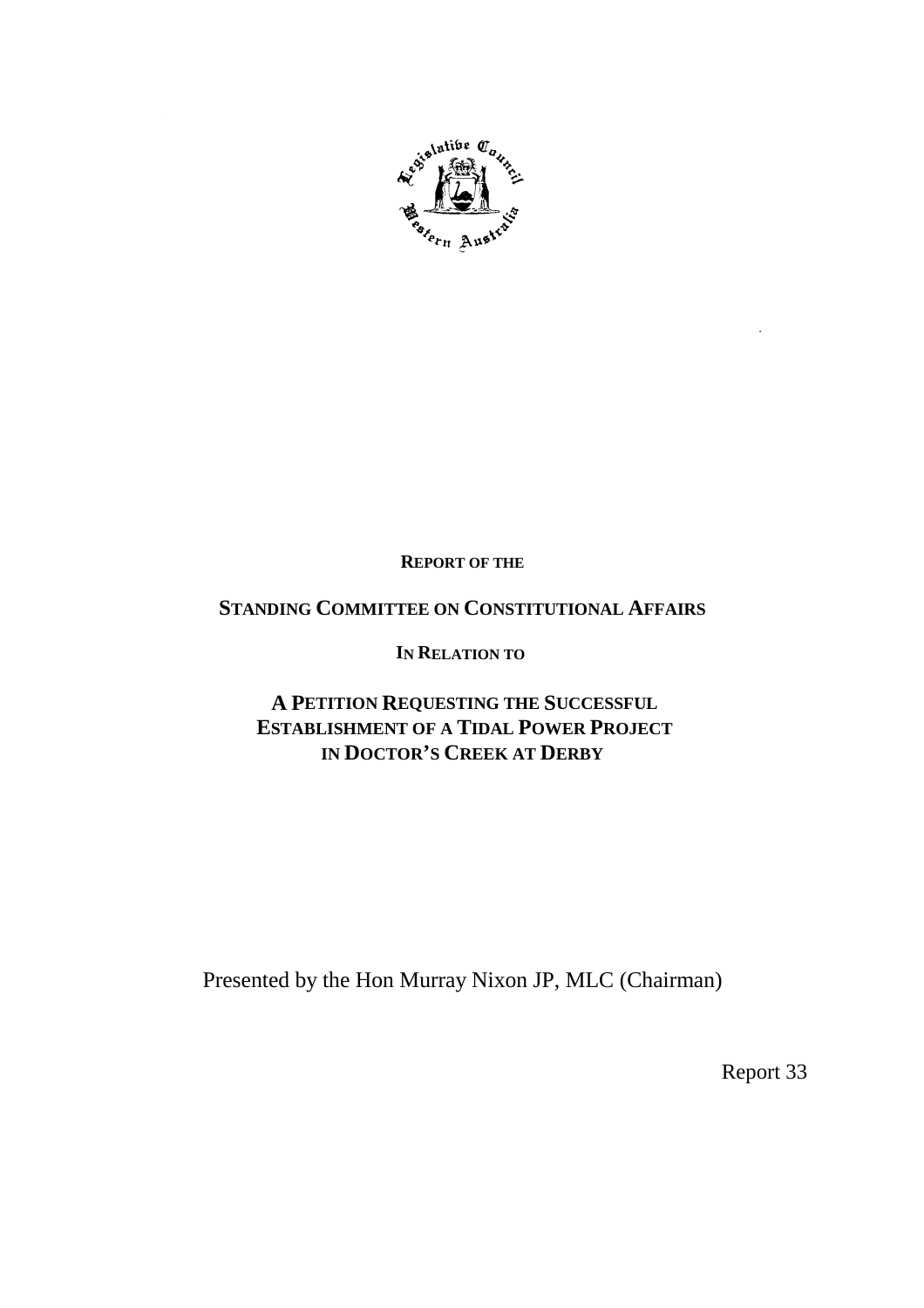

**REPORT OF THE**

# **STANDING COMMITTEE ON CONSTITUTIONAL AFFAIRS**

# **IN RELATION TO**

# **A PETITION REQUESTING THE SUCCESSFUL ESTABLISHMENT OF A TIDAL POWER PROJECT IN DOCTOR'S CREEK AT DERBY**

Presented by the Hon Murray Nixon JP, MLC (Chairman)

Report 33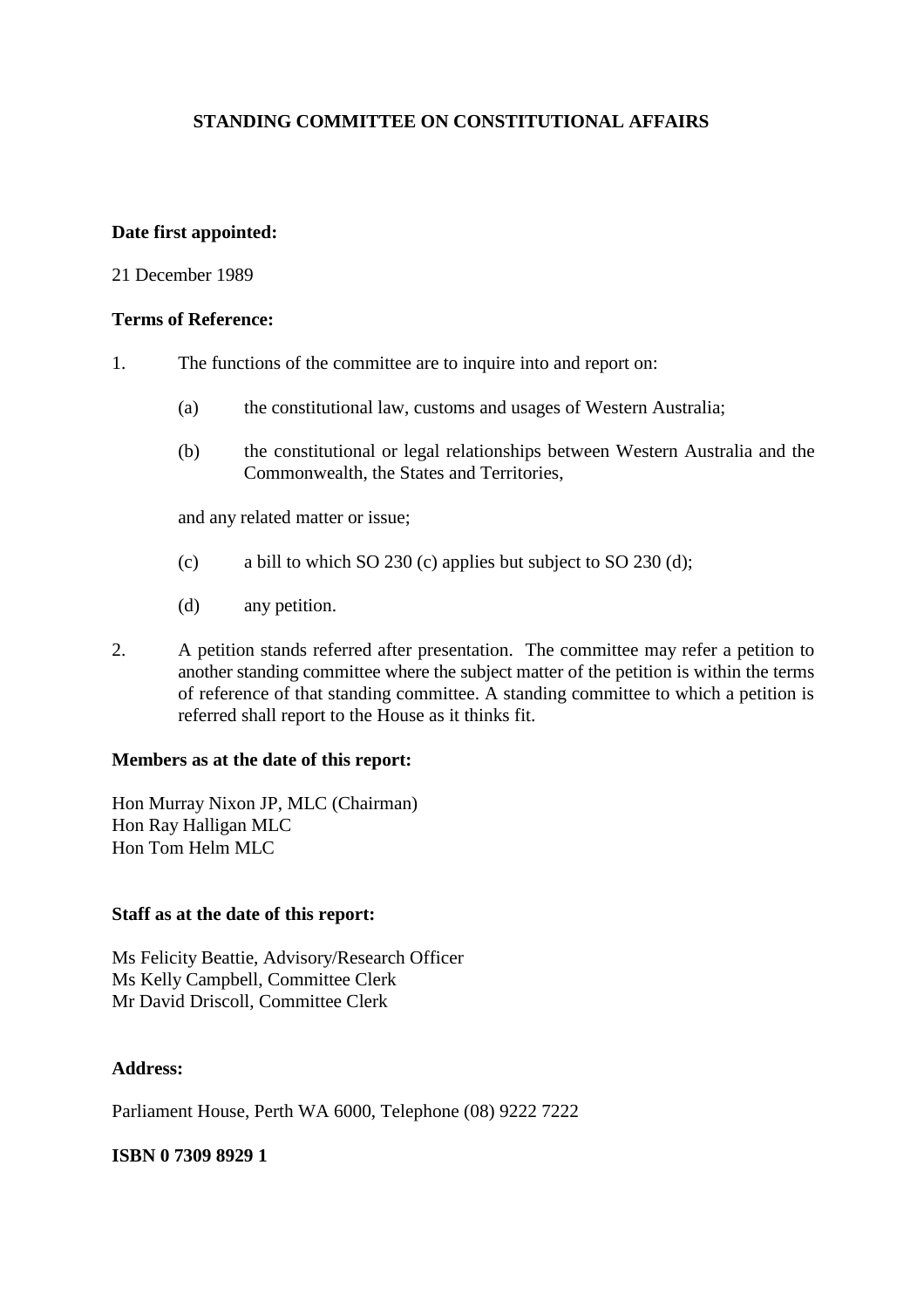# **STANDING COMMITTEE ON CONSTITUTIONAL AFFAIRS**

### **Date first appointed:**

### 21 December 1989

### **Terms of Reference:**

- 1. The functions of the committee are to inquire into and report on:
	- (a) the constitutional law, customs and usages of Western Australia;
	- (b) the constitutional or legal relationships between Western Australia and the Commonwealth, the States and Territories,

and any related matter or issue;

- (c) a bill to which SO 230 (c) applies but subject to SO 230 (d);
- (d) any petition.
- 2. A petition stands referred after presentation. The committee may refer a petition to another standing committee where the subject matter of the petition is within the terms of reference of that standing committee. A standing committee to which a petition is referred shall report to the House as it thinks fit.

### **Members as at the date of this report:**

Hon Murray Nixon JP, MLC (Chairman) Hon Ray Halligan MLC Hon Tom Helm MLC

### **Staff as at the date of this report:**

Ms Felicity Beattie, Advisory/Research Officer Ms Kelly Campbell, Committee Clerk Mr David Driscoll, Committee Clerk

### **Address:**

Parliament House, Perth WA 6000, Telephone (08) 9222 7222

### **ISBN 0 7309 8929 1**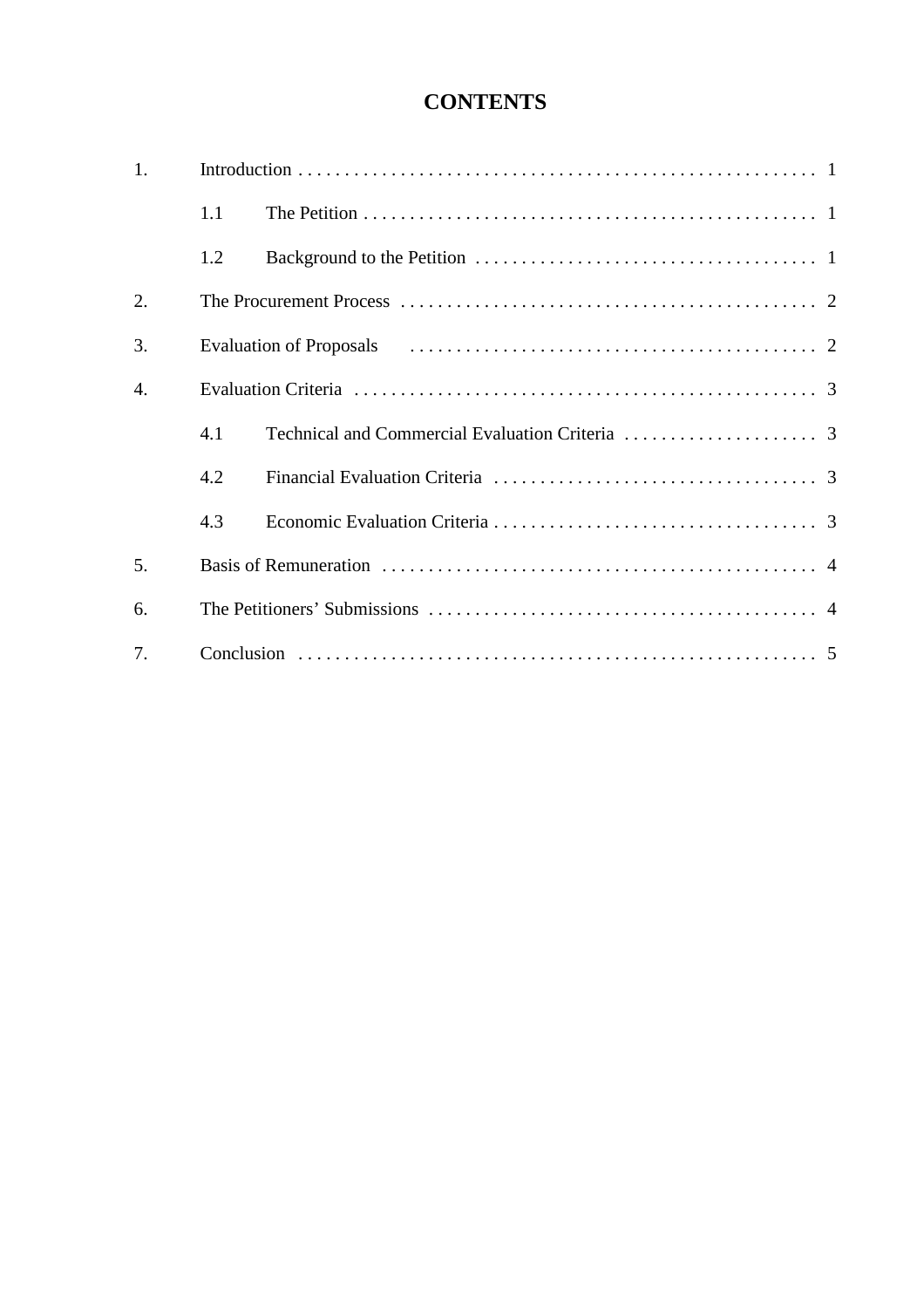# **CONTENTS**

| 1. |     |  |  |  |
|----|-----|--|--|--|
|    | 1.1 |  |  |  |
|    | 1.2 |  |  |  |
| 2. |     |  |  |  |
| 3. |     |  |  |  |
| 4. |     |  |  |  |
|    | 4.1 |  |  |  |
|    | 4.2 |  |  |  |
|    | 4.3 |  |  |  |
| 5. |     |  |  |  |
| 6. |     |  |  |  |
| 7. |     |  |  |  |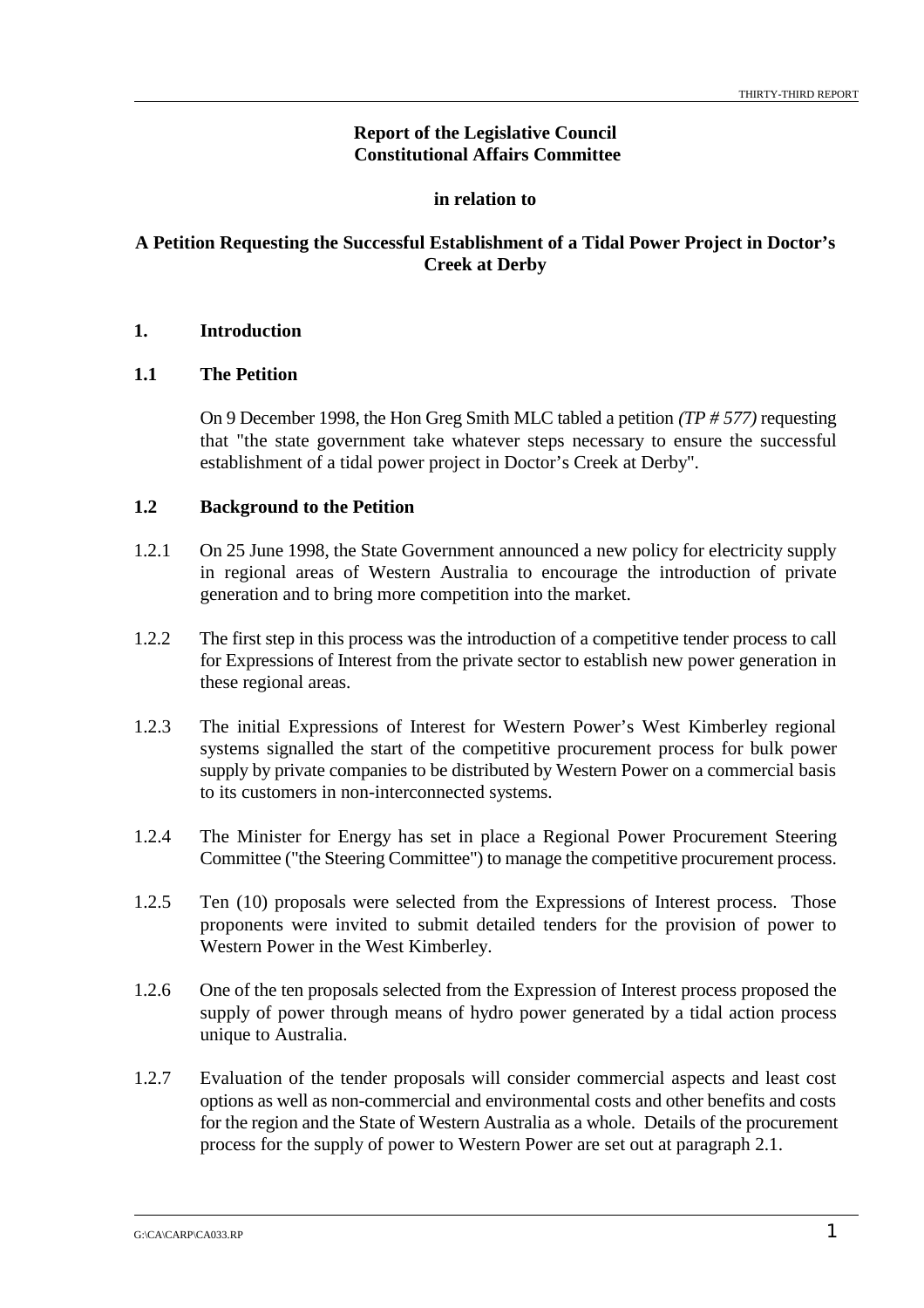# **Report of the Legislative Council Constitutional Affairs Committee**

### **in relation to**

# **A Petition Requesting the Successful Establishment of a Tidal Power Project in Doctor's Creek at Derby**

# **1. Introduction**

### **1.1 The Petition**

On 9 December 1998, the Hon Greg Smith MLC tabled a petition *(TP # 577)* requesting that "the state government take whatever steps necessary to ensure the successful establishment of a tidal power project in Doctor's Creek at Derby".

### **1.2 Background to the Petition**

- 1.2.1 On 25 June 1998, the State Government announced a new policy for electricity supply in regional areas of Western Australia to encourage the introduction of private generation and to bring more competition into the market.
- 1.2.2 The first step in this process was the introduction of a competitive tender process to call for Expressions of Interest from the private sector to establish new power generation in these regional areas.
- 1.2.3 The initial Expressions of Interest for Western Power's West Kimberley regional systems signalled the start of the competitive procurement process for bulk power supply by private companies to be distributed by Western Power on a commercial basis to its customers in non-interconnected systems.
- 1.2.4 The Minister for Energy has set in place a Regional Power Procurement Steering Committee ("the Steering Committee") to manage the competitive procurement process.
- 1.2.5 Ten (10) proposals were selected from the Expressions of Interest process. Those proponents were invited to submit detailed tenders for the provision of power to Western Power in the West Kimberley.
- 1.2.6 One of the ten proposals selected from the Expression of Interest process proposed the supply of power through means of hydro power generated by a tidal action process unique to Australia.
- 1.2.7 Evaluation of the tender proposals will consider commercial aspects and least cost options as well as non-commercial and environmental costs and other benefits and costs for the region and the State of Western Australia as a whole. Details of the procurement process for the supply of power to Western Power are set out at paragraph 2.1.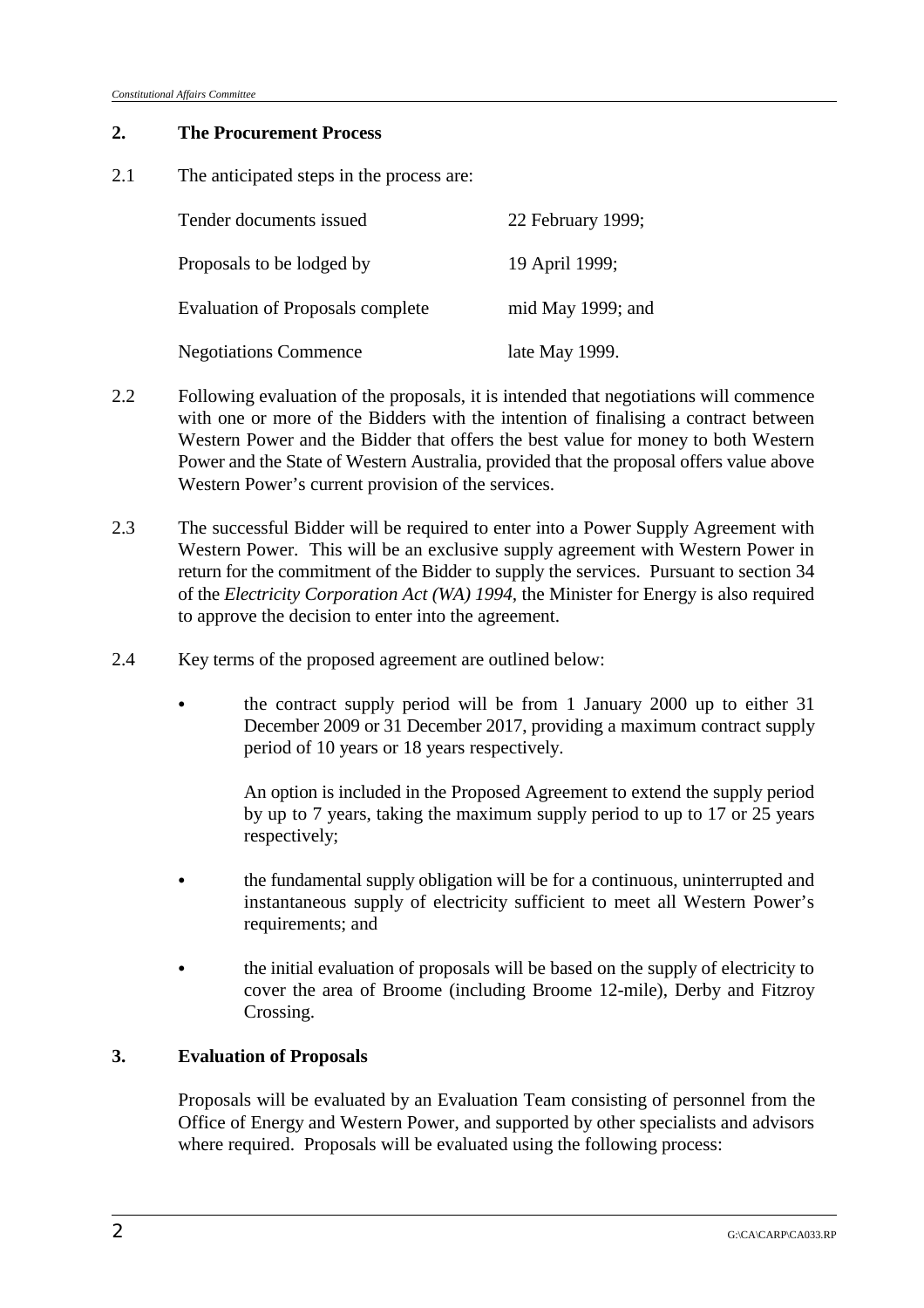### **2. The Procurement Process**

2.1 The anticipated steps in the process are:

| Tender documents issued                 | 22 February 1999; |
|-----------------------------------------|-------------------|
| Proposals to be lodged by               | 19 April 1999;    |
| <b>Evaluation of Proposals complete</b> | mid May 1999; and |
| <b>Negotiations Commence</b>            | late May 1999.    |

- 2.2 Following evaluation of the proposals, it is intended that negotiations will commence with one or more of the Bidders with the intention of finalising a contract between Western Power and the Bidder that offers the best value for money to both Western Power and the State of Western Australia, provided that the proposal offers value above Western Power's current provision of the services.
- 2.3 The successful Bidder will be required to enter into a Power Supply Agreement with Western Power. This will be an exclusive supply agreement with Western Power in return for the commitment of the Bidder to supply the services. Pursuant to section 34 of the *Electricity Corporation Act (WA) 1994,* the Minister for Energy is also required to approve the decision to enter into the agreement.
- 2.4 Key terms of the proposed agreement are outlined below:
	- the contract supply period will be from 1 January 2000 up to either 31 December 2009 or 31 December 2017, providing a maximum contract supply period of 10 years or 18 years respectively.

An option is included in the Proposed Agreement to extend the supply period by up to 7 years, taking the maximum supply period to up to 17 or 25 years respectively;

- & the fundamental supply obligation will be for a continuous, uninterrupted and instantaneous supply of electricity sufficient to meet all Western Power's requirements; and
- & the initial evaluation of proposals will be based on the supply of electricity to cover the area of Broome (including Broome 12-mile), Derby and Fitzroy Crossing.

# **3. Evaluation of Proposals**

Proposals will be evaluated by an Evaluation Team consisting of personnel from the Office of Energy and Western Power, and supported by other specialists and advisors where required. Proposals will be evaluated using the following process: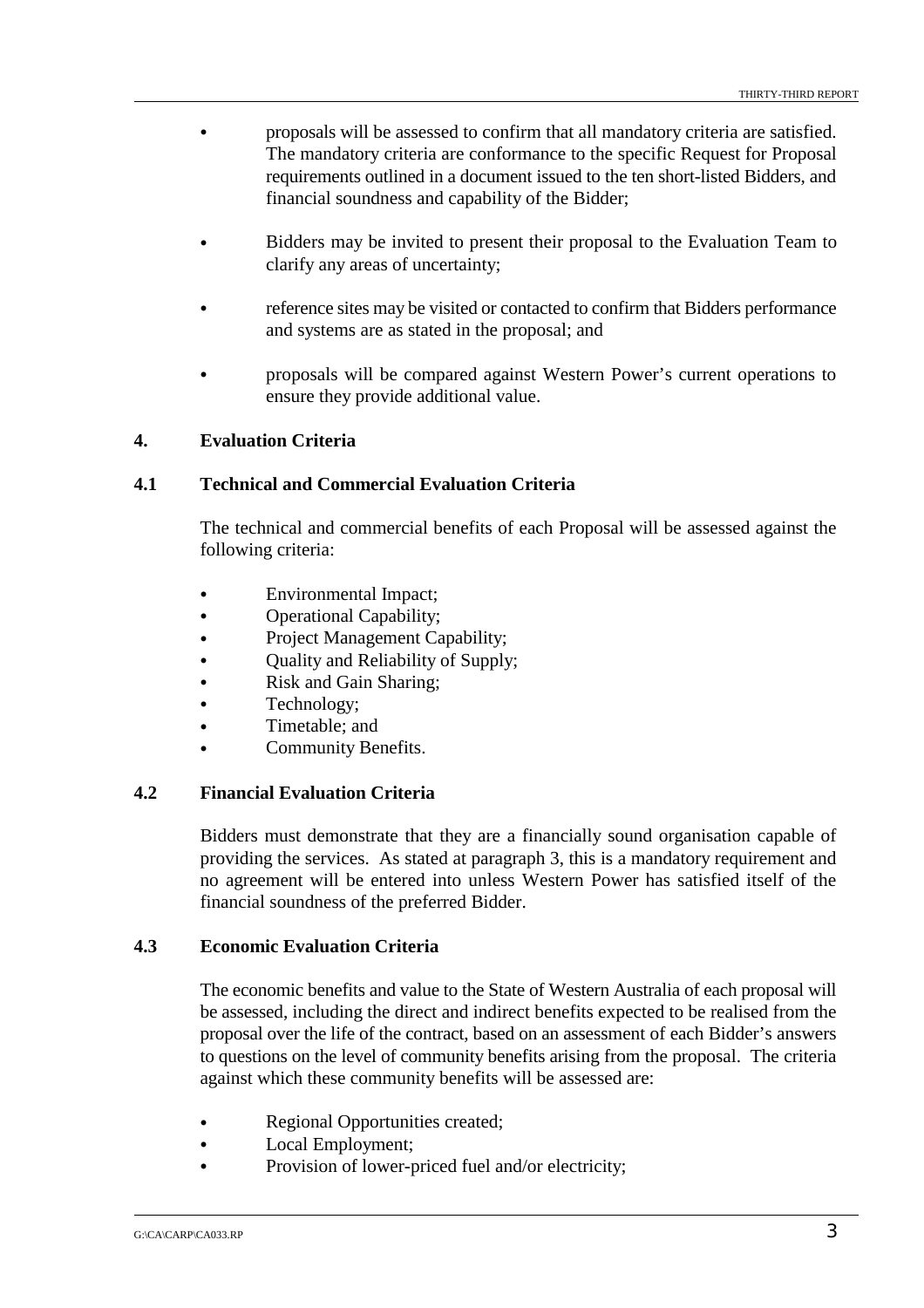- & proposals will be assessed to confirm that all mandatory criteria are satisfied. The mandatory criteria are conformance to the specific Request for Proposal requirements outlined in a document issued to the ten short-listed Bidders, and financial soundness and capability of the Bidder;
- & Bidders may be invited to present their proposal to the Evaluation Team to clarify any areas of uncertainty;
- & reference sites may be visited or contacted to confirm that Bidders performance and systems are as stated in the proposal; and
- & proposals will be compared against Western Power's current operations to ensure they provide additional value.

# **4. Evaluation Criteria**

### **4.1 Technical and Commercial Evaluation Criteria**

The technical and commercial benefits of each Proposal will be assessed against the following criteria:

- & Environmental Impact;
- & Operational Capability;
- & Project Management Capability;
- Quality and Reliability of Supply;
- Risk and Gain Sharing;
- Technology;
- & Timetable; and
- Community Benefits.

### **4.2 Financial Evaluation Criteria**

Bidders must demonstrate that they are a financially sound organisation capable of providing the services. As stated at paragraph 3, this is a mandatory requirement and no agreement will be entered into unless Western Power has satisfied itself of the financial soundness of the preferred Bidder.

### **4.3 Economic Evaluation Criteria**

The economic benefits and value to the State of Western Australia of each proposal will be assessed, including the direct and indirect benefits expected to be realised from the proposal over the life of the contract, based on an assessment of each Bidder's answers to questions on the level of community benefits arising from the proposal. The criteria against which these community benefits will be assessed are:

- & Regional Opportunities created;
- & Local Employment;
- Provision of lower-priced fuel and/or electricity;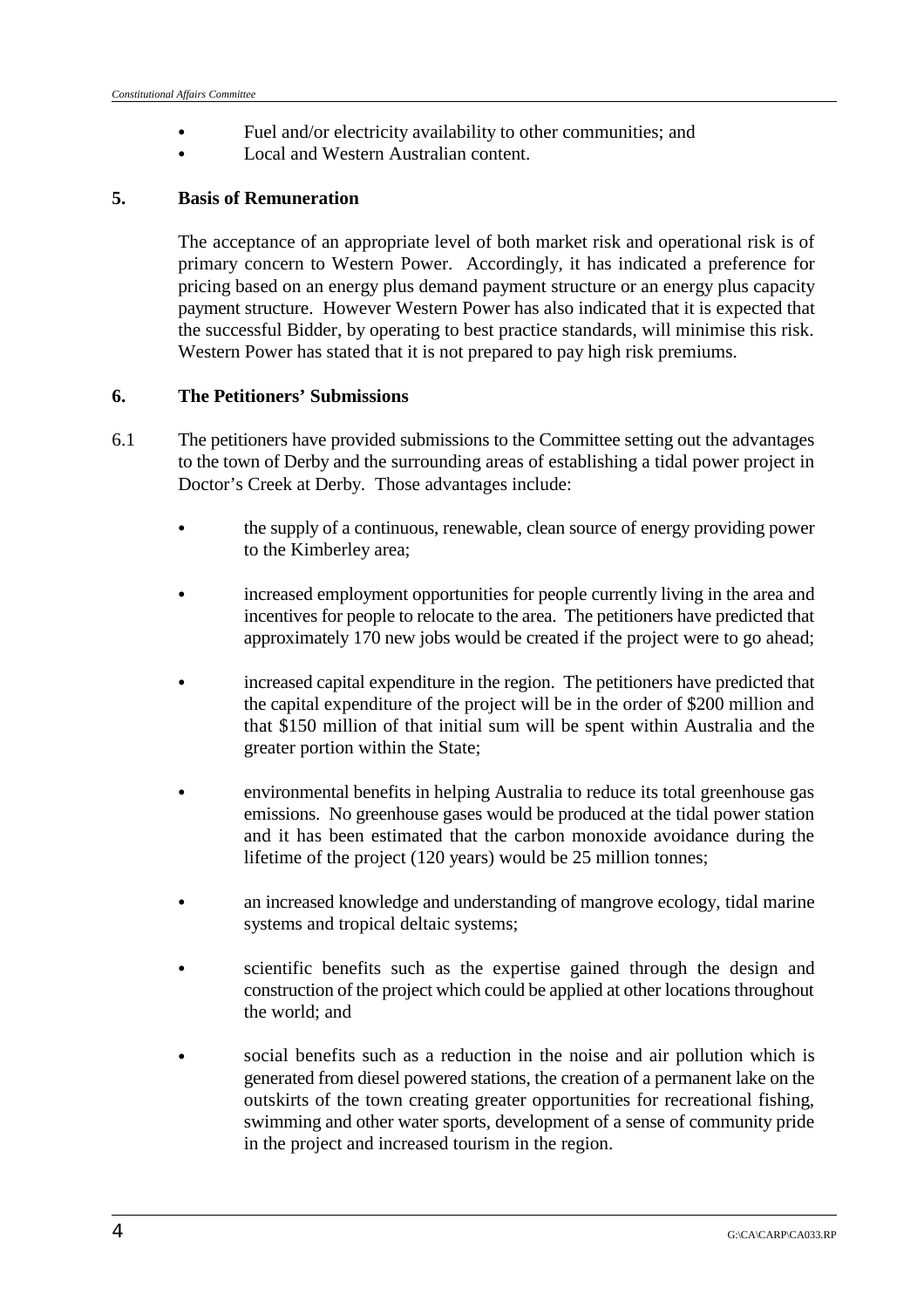- & Fuel and/or electricity availability to other communities; and
- Local and Western Australian content.

### **5. Basis of Remuneration**

The acceptance of an appropriate level of both market risk and operational risk is of primary concern to Western Power. Accordingly, it has indicated a preference for pricing based on an energy plus demand payment structure or an energy plus capacity payment structure. However Western Power has also indicated that it is expected that the successful Bidder, by operating to best practice standards, will minimise this risk. Western Power has stated that it is not prepared to pay high risk premiums.

# **6. The Petitioners' Submissions**

- 6.1 The petitioners have provided submissions to the Committee setting out the advantages to the town of Derby and the surrounding areas of establishing a tidal power project in Doctor's Creek at Derby. Those advantages include:
	- the supply of a continuous, renewable, clean source of energy providing power to the Kimberley area;
	- & increased employment opportunities for people currently living in the area and incentives for people to relocate to the area. The petitioners have predicted that approximately 170 new jobs would be created if the project were to go ahead;
	- & increased capital expenditure in the region. The petitioners have predicted that the capital expenditure of the project will be in the order of \$200 million and that \$150 million of that initial sum will be spent within Australia and the greater portion within the State;
	- & environmental benefits in helping Australia to reduce its total greenhouse gas emissions. No greenhouse gases would be produced at the tidal power station and it has been estimated that the carbon monoxide avoidance during the lifetime of the project (120 years) would be 25 million tonnes;
	- an increased knowledge and understanding of mangrove ecology, tidal marine systems and tropical deltaic systems;
	- scientific benefits such as the expertise gained through the design and construction of the project which could be applied at other locations throughout the world; and
	- social benefits such as a reduction in the noise and air pollution which is generated from diesel powered stations, the creation of a permanent lake on the outskirts of the town creating greater opportunities for recreational fishing, swimming and other water sports, development of a sense of community pride in the project and increased tourism in the region.